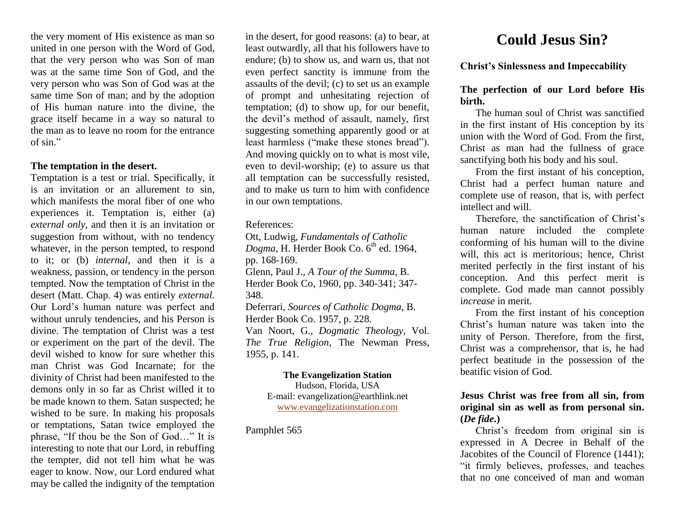the very moment of His existence as man so united in one person with the Word of God, that the very person who was Son of man was at the same time Son of God, and the very person who was Son of God was at the same time Son of man; and by the adoption of His human nature into the divine, the grace itself became in a way so natural to the man as to leave no room for the entrance of sin."

#### **The temptation in the desert.**

Temptation is a test or trial. Specifically, it is an invitation or an allurement to sin, which manifests the moral fiber of one who experiences it. Temptation is, either (a) *external only*, and then it is an invitation or suggestion from without, with no tendency whatever, in the person tempted, to respond to it; or (b) *internal*, and then it is a weakness, passion, or tendency in the person tempted. Now the temptation of Christ in the desert (Matt. Chap. 4) was entirely *external*. Our Lord's human nature was perfect and without unruly tendencies, and his Person is divine. The temptation of Christ was a test or experiment on the part of the devil. The devil wished to know for sure whether this man Christ was God Incarnate; for the divinity of Christ had been manifested to the demons only in so far as Christ willed it to be made known to them. Satan suspected; he wished to be sure. In making his proposals or temptations, Satan twice employed the phrase, "If thou be the Son of God…" It is interesting to note that our Lord, in rebuffing the tempter, did not tell him what he was eager to know. Now, our Lord endured what may be called the indignity of the temptation

in the desert, for good reasons: (a) to bear, at least outwardly, all that his followers have to endure; (b) to show us, and warn us, that not even perfect sanctity is immune from the assaults of the devil; (c) to set us an example of prompt and unhesitating rejection of temptation; (d) to show up, for our benefit, the devil's method of assault, namely, first suggesting something apparently good or at least harmless ("make these stones bread"). And moving quickly on to what is most vile, even to devil-worship; (e) to assure us that all temptation can be successfully resisted, and to make us turn to him with confidence in our own temptations.

## References:

Ott, Ludwig, *Fundamentals of Catholic Dogma*, H. Herder Book Co. 6<sup>th</sup> ed. 1964, pp. 168-169. Glenn, Paul J., *A Tour of the Summa*, B. Herder Book Co, 1960, pp. 340-341; 347- 348. Deferrari, *Sources of Catholic Dogma*, B. Herder Book Co. 1957, p. 228. Van Noort, G., *Dogmatic Theology*, Vol.

*The True Religion*, The Newman Press, 1955, p. 141.

## **The Evangelization Station**

Hudson, Florida, USA E-mail: evangelization@earthlink.net [www.evangelizationstation.com](http://www.pjpiisoe.org/)

Pamphlet 565

# **Could Jesus Sin?**

# **Christ's Sinlessness and Impeccability**

# **The perfection of our Lord before His birth.**

The human soul of Christ was sanctified in the first instant of His conception by its union with the Word of God. From the first, Christ as man had the fullness of grace sanctifying both his body and his soul.

From the first instant of his conception, Christ had a perfect human nature and complete use of reason, that is, with perfect intellect and will.

Therefore, the sanctification of Christ's human nature included the complete conforming of his human will to the divine will, this act is meritorious; hence, Christ merited perfectly in the first instant of his conception. And this perfect merit is complete. God made man cannot possibly i*ncrease* in merit.

From the first instant of his conception Christ's human nature was taken into the unity of Person. Therefore, from the first, Christ was a comprehensor, that is, he had perfect beatitude in the possession of the beatific vision of God.

## **Jesus Christ was free from all sin, from original sin as well as from personal sin. (***De fide***.)**

Christ's freedom from original sin is expressed in A Decree in Behalf of the Jacobites of the Council of Florence (1441); "it firmly believes, professes, and teaches that no one conceived of man and woman